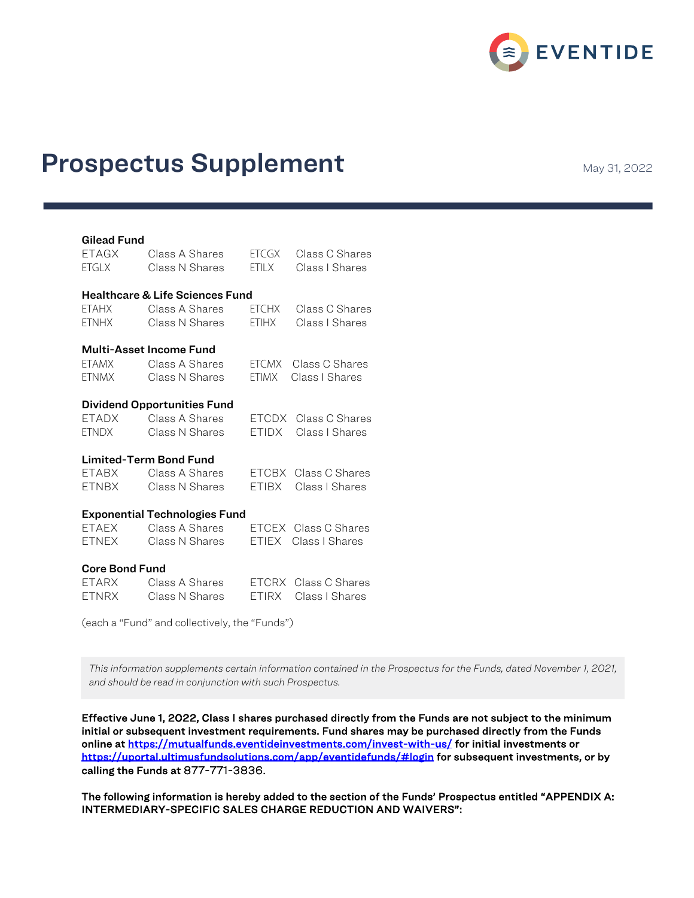

# Prospectus Supplement May 31, 2022

#### Gilead Fund

| ETAGX                                      | Class A Shares | <b>ETCGX</b> | Class C Shares       |
|--------------------------------------------|----------------|--------------|----------------------|
| <b>ETGLX</b>                               | Class N Shares | <b>FTILX</b> | Class I Shares       |
| <b>Healthcare &amp; Life Sciences Fund</b> |                |              |                      |
| <b>ETAHX</b>                               | Class A Shares | ETCHX        | Class C Shares       |
| ETNHX                                      | Class N Shares | <b>ETIHX</b> | Class I Shares       |
| Multi-Asset Income Fund                    |                |              |                      |
| ETAMX                                      | Class A Shares | <b>ETCMX</b> | Class C Shares       |
| <b>ETNMX</b>                               | Class N Shares | <b>ETIMX</b> | Class I Shares       |
| <b>Dividend Opportunities Fund</b>         |                |              |                      |
| ETADX                                      | Class A Shares | ETCDX        | Class C Shares       |
| <b>ETNDX</b>                               | Class N Shares | ETIDX        | Class I Shares       |
| <b>Limited-Term Bond Fund</b>              |                |              |                      |
| ETABX                                      | Class A Shares | ETCBX        | Class C Shares       |
| <b>ETNBX</b>                               | Class N Shares | ETIBX        | Class I Shares       |
| <b>Exponential Technologies Fund</b>       |                |              |                      |
| ETAEX                                      | Class A Shares |              | ETCEX Class C Shares |
| <b>ETNEX</b>                               | Class N Shares | <b>ETIEX</b> | Class I Shares       |
| <b>Core Bond Fund</b>                      |                |              |                      |
| ETARX                                      | Class A Shares | ETCRX        | Class C Shares       |
| <b>ETNRX</b>                               | Class N Shares | ETIRX        | Class I Shares       |

(each a "Fund" and collectively, the "Funds")

*This information supplements certain information contained in the Prospectus for the Funds, dated November 1, 2021, and should be read in conjunction with such Prospectus.*

Effective June 1, 2022, Class I shares purchased directly from the Funds are not subject to the minimum initial or subsequent investment requirements. Fund shares may be purchased directly from the Funds online at https://mutualfunds.eventideinvestments.com/invest-with-us/ for initial investments or https://uportal.ultimusfundsolutions.com/app/eventidefunds/#login for subsequent investments, or by calling the Funds at 877-771-3836.

The following information is hereby added to the section of the Funds' Prospectus entitled "APPENDIX A: INTERMEDIARY-SPECIFIC SALES CHARGE REDUCTION AND WAIVERS":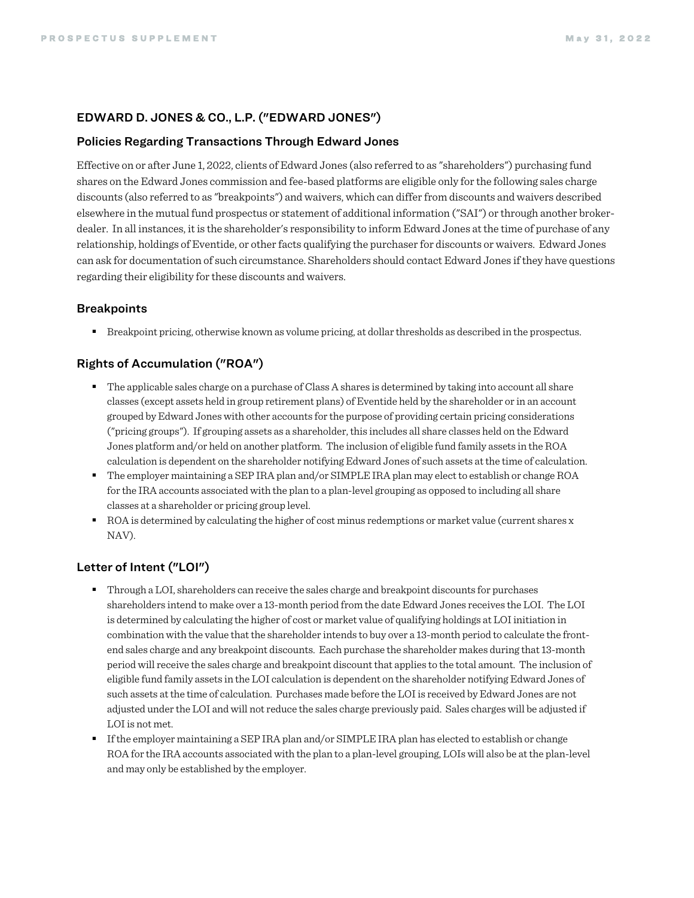#### EDWARD D. JONES & CO., L.P. ("EDWARD JONES")

#### Policies Regarding Transactions Through Edward Jones

Effective on or after June 1, 2022, clients of Edward Jones (also referred to as "shareholders") purchasing fund shares on the Edward Jones commission and fee-based platforms are eligible only for the following sales charge discounts (also referred to as "breakpoints") and waivers, which can differ from discounts and waivers described elsewhere in the mutual fund prospectus or statement of additional information ("SAI") or through another brokerdealer. In all instances, it is the shareholder's responsibility to inform Edward Jones at the time of purchase of any relationship, holdings of Eventide, or other facts qualifying the purchaser for discounts or waivers. Edward Jones can ask for documentation of such circumstance. Shareholders should contact Edward Jones if they have questions regarding their eligibility for these discounts and waivers.

#### **Breakpoints**

§ Breakpoint pricing, otherwise known as volume pricing, at dollar thresholds as described in the prospectus.

## Rights of Accumulation ("ROA")

- The applicable sales charge on a purchase of Class A shares is determined by taking into account all share classes (except assets held in group retirement plans) of Eventide held by the shareholder or in an account grouped by Edward Jones with other accounts for the purpose of providing certain pricing considerations ("pricing groups"). If grouping assets as a shareholder, this includes all share classes held on the Edward Jones platform and/or held on another platform. The inclusion of eligible fund family assets in the ROA calculation is dependent on the shareholder notifying Edward Jones of such assets at the time of calculation.
- § The employer maintaining a SEP IRA plan and/or SIMPLE IRA plan may elect to establish or change ROA for the IRA accounts associated with the plan to a plan-level grouping as opposed to including all share classes at a shareholder or pricing group level.
- ROA is determined by calculating the higher of cost minus redemptions or market value (current shares x NAV).

# Letter of Intent ("LOI")

- § Through a LOI, shareholders can receive the sales charge and breakpoint discounts for purchases shareholders intend to make over a 13-month period from the date Edward Jones receives the LOI. The LOI is determined by calculating the higher of cost or market value of qualifying holdings at LOI initiation in combination with the value that the shareholder intends to buy over a 13-month period to calculate the frontend sales charge and any breakpoint discounts. Each purchase the shareholder makes during that 13-month period will receive the sales charge and breakpoint discount that applies to the total amount. The inclusion of eligible fund family assets in the LOI calculation is dependent on the shareholder notifying Edward Jones of such assets at the time of calculation. Purchases made before the LOI is received by Edward Jones are not adjusted under the LOI and will not reduce the sales charge previously paid. Sales charges will be adjusted if LOI is not met.
- If the employer maintaining a SEP IRA plan and/or SIMPLE IRA plan has elected to establish or change ROA for the IRA accounts associated with the plan to a plan-level grouping, LOIs will also be at the plan-level and may only be established by the employer.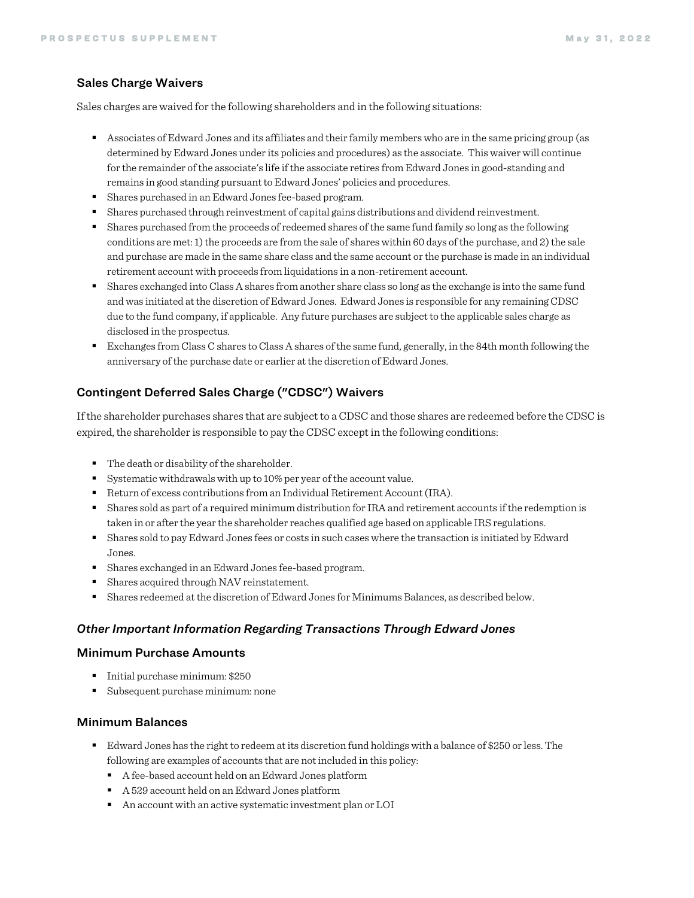#### Sales Charge Waivers

Sales charges are waived for the following shareholders and in the following situations:

- § Associates of Edward Jones and its affiliates and their family members who are in the same pricing group (as determined by Edward Jones under its policies and procedures) as the associate. This waiver will continue for the remainder of the associate's life if the associate retires from Edward Jones in good-standing and remains in good standing pursuant to Edward Jones' policies and procedures.
- Shares purchased in an Edward Jones fee-based program.
- Shares purchased through reinvestment of capital gains distributions and dividend reinvestment.
- § Shares purchased from the proceeds of redeemed shares of the same fund family so long as the following conditions are met: 1) the proceeds are from the sale of shares within 60 days of the purchase, and 2) the sale and purchase are made in the same share class and the same account or the purchase is made in an individual retirement account with proceeds from liquidations in a non-retirement account.
- § Shares exchanged into Class A shares from another share class so long as the exchange is into the same fund and was initiated at the discretion of Edward Jones. Edward Jones is responsible for any remaining CDSC due to the fund company, if applicable. Any future purchases are subject to the applicable sales charge as disclosed in the prospectus.
- Exchanges from Class C shares to Class A shares of the same fund, generally, in the 84th month following the anniversary of the purchase date or earlier at the discretion of Edward Jones.

# Contingent Deferred Sales Charge ("CDSC") Waivers

If the shareholder purchases shares that are subject to a CDSC and those shares are redeemed before the CDSC is expired, the shareholder is responsible to pay the CDSC except in the following conditions:

- The death or disability of the shareholder.
- Systematic withdrawals with up to 10% per year of the account value.
- Return of excess contributions from an Individual Retirement Account (IRA).
- Shares sold as part of a required minimum distribution for IRA and retirement accounts if the redemption is taken in or after the year the shareholder reaches qualified age based on applicable IRS regulations.
- § Shares sold to pay Edward Jones fees or costs in such cases where the transaction is initiated by Edward Jones.
- Shares exchanged in an Edward Jones fee-based program.
- Shares acquired through NAV reinstatement.
- § Shares redeemed at the discretion of Edward Jones for Minimums Balances, as described below.

#### *Other Important Information Regarding Transactions Through Edward Jones*

## Minimum Purchase Amounts

- Initial purchase minimum: \$250
- Subsequent purchase minimum: none

#### Minimum Balances

- § Edward Jones has the right to redeem at its discretion fund holdings with a balance of \$250 or less. The following are examples of accounts that are not included in this policy:
	- A fee-based account held on an Edward Jones platform
	- A 529 account held on an Edward Jones platform
	- An account with an active systematic investment plan or LOI